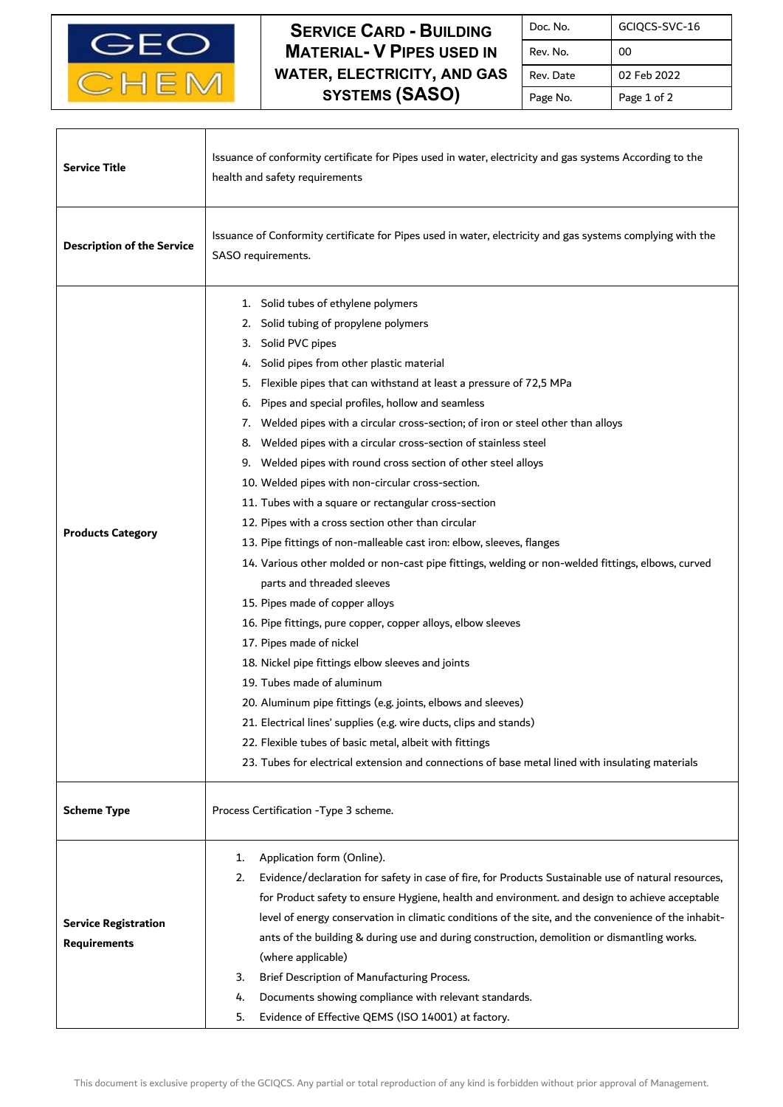

 $\mathbf{I}$ 

Г

**SERVICE CARD - BUILDING MATERIAL- V PIPES USED IN WATER, ELECTRICITY, AND GAS SYSTEMS (SASO)**

| Doc. No.  | GCIQCS-SVC-16 |
|-----------|---------------|
| Rev. No.  | 00            |
| Rev. Date | 02 Feb 2022   |
| Page No.  | Page 1 of 2   |

| <b>Service Title</b>                               | Issuance of conformity certificate for Pipes used in water, electricity and gas systems According to the<br>health and safety requirements                                                                                                                                                                                                                                                                                                                                                                                                                                                                                                                                                                                                                                                                                                                                                                                                                                                                                                                                                                                                                                                                                                                                                                                                                                                                                               |  |
|----------------------------------------------------|------------------------------------------------------------------------------------------------------------------------------------------------------------------------------------------------------------------------------------------------------------------------------------------------------------------------------------------------------------------------------------------------------------------------------------------------------------------------------------------------------------------------------------------------------------------------------------------------------------------------------------------------------------------------------------------------------------------------------------------------------------------------------------------------------------------------------------------------------------------------------------------------------------------------------------------------------------------------------------------------------------------------------------------------------------------------------------------------------------------------------------------------------------------------------------------------------------------------------------------------------------------------------------------------------------------------------------------------------------------------------------------------------------------------------------------|--|
| <b>Description of the Service</b>                  | Issuance of Conformity certificate for Pipes used in water, electricity and gas systems complying with the<br>SASO requirements.                                                                                                                                                                                                                                                                                                                                                                                                                                                                                                                                                                                                                                                                                                                                                                                                                                                                                                                                                                                                                                                                                                                                                                                                                                                                                                         |  |
| <b>Products Category</b>                           | 1. Solid tubes of ethylene polymers<br>Solid tubing of propylene polymers<br>2.<br>Solid PVC pipes<br>3.<br>Solid pipes from other plastic material<br>4.<br>Flexible pipes that can withstand at least a pressure of 72,5 MPa<br>5.<br>Pipes and special profiles, hollow and seamless<br>6.<br>Welded pipes with a circular cross-section; of iron or steel other than alloys<br>7.<br>Welded pipes with a circular cross-section of stainless steel<br>8.<br>Welded pipes with round cross section of other steel alloys<br>9.<br>10. Welded pipes with non-circular cross-section.<br>11. Tubes with a square or rectangular cross-section<br>12. Pipes with a cross section other than circular<br>13. Pipe fittings of non-malleable cast iron: elbow, sleeves, flanges<br>14. Various other molded or non-cast pipe fittings, welding or non-welded fittings, elbows, curved<br>parts and threaded sleeves<br>15. Pipes made of copper alloys<br>16. Pipe fittings, pure copper, copper alloys, elbow sleeves<br>17. Pipes made of nickel<br>18. Nickel pipe fittings elbow sleeves and joints<br>19. Tubes made of aluminum<br>20. Aluminum pipe fittings (e.g. joints, elbows and sleeves)<br>21. Electrical lines' supplies (e.g. wire ducts, clips and stands)<br>22. Flexible tubes of basic metal, albeit with fittings<br>23. Tubes for electrical extension and connections of base metal lined with insulating materials |  |
| <b>Scheme Type</b>                                 | Process Certification - Type 3 scheme.                                                                                                                                                                                                                                                                                                                                                                                                                                                                                                                                                                                                                                                                                                                                                                                                                                                                                                                                                                                                                                                                                                                                                                                                                                                                                                                                                                                                   |  |
| <b>Service Registration</b><br><b>Requirements</b> | Application form (Online).<br>1.<br>Evidence/declaration for safety in case of fire, for Products Sustainable use of natural resources,<br>2.<br>for Product safety to ensure Hygiene, health and environment. and design to achieve acceptable<br>level of energy conservation in climatic conditions of the site, and the convenience of the inhabit-<br>ants of the building & during use and during construction, demolition or dismantling works.<br>(where applicable)<br>Brief Description of Manufacturing Process.<br>3.<br>Documents showing compliance with relevant standards.<br>4.<br>Evidence of Effective QEMS (ISO 14001) at factory.<br>5.                                                                                                                                                                                                                                                                                                                                                                                                                                                                                                                                                                                                                                                                                                                                                                             |  |